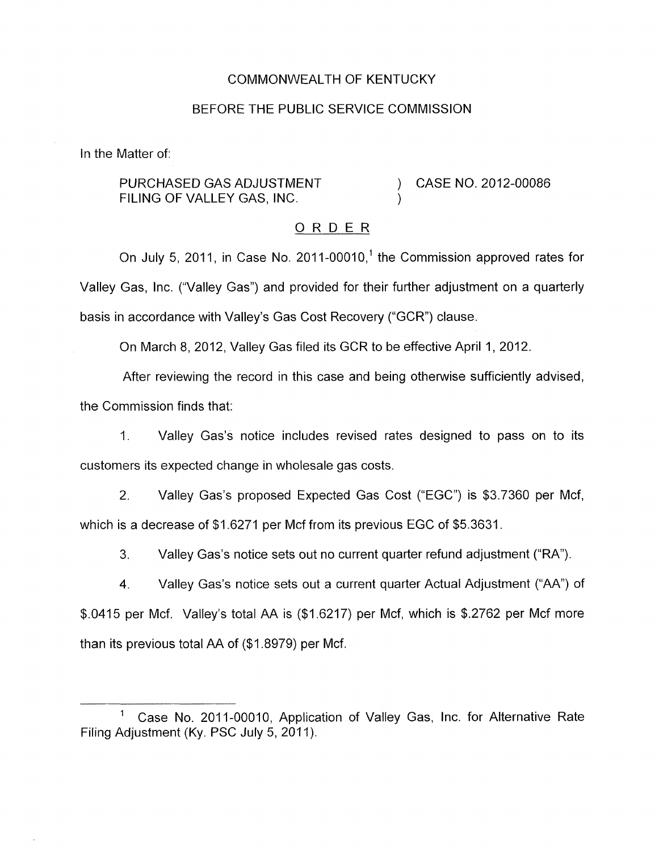## COMMONWEALTH OF KENTUCKY

#### BEFORE THE PUBLIC SERVICE COMMISSION

In the Matter of:

PURCHASED GAS ADJUSTMENT FILING OF VALLEY GAS, INC.

) CASE NO. 2012-00086

#### ORDER

)

On July 5, 2011, in Case No. 2011-00010,<sup>1</sup> the Commission approved rates for Valley Gas, Inc. ("Valley Gas") and provided for their further adjustment on a quarterly basis in accordance with Valley's Gas Cost Recovery ("GCR") clause.

On March 8, 2012, Valley Gas filed its GCR to be effective April 1, 2012.

After reviewing the record in this case and being otherwise sufficiently advised, the Commission finds that:

I, Valley Gas's notice includes revised rates designed to pass on to its customers its expected change in wholesale gas costs.

2. Valley Gas's proposed Expected Gas Cost ("EGC'') is \$3.7360 per Mcf, which is a decrease of \$1.6271 per Mcf from its previous EGC of \$5.3631.

3. Valley Gas's notice sets out no current quarter refund adjustment ("RA").

**4.** Valley Gas's notice sets out a current quarter Actual Adjustment ("AA") of \$.0415 per Mcf. Valley's total AA is (\$1.6217) per Mcf, which is \$.2762 per Mcf more than its previous total AA of  $(\$1.8979)$  per Mcf.

Case No. 2011-00010, Application of Valley Gas, Inc. for Alternative Rate Filing Adjustment (Ky. PSC July 5, 2011).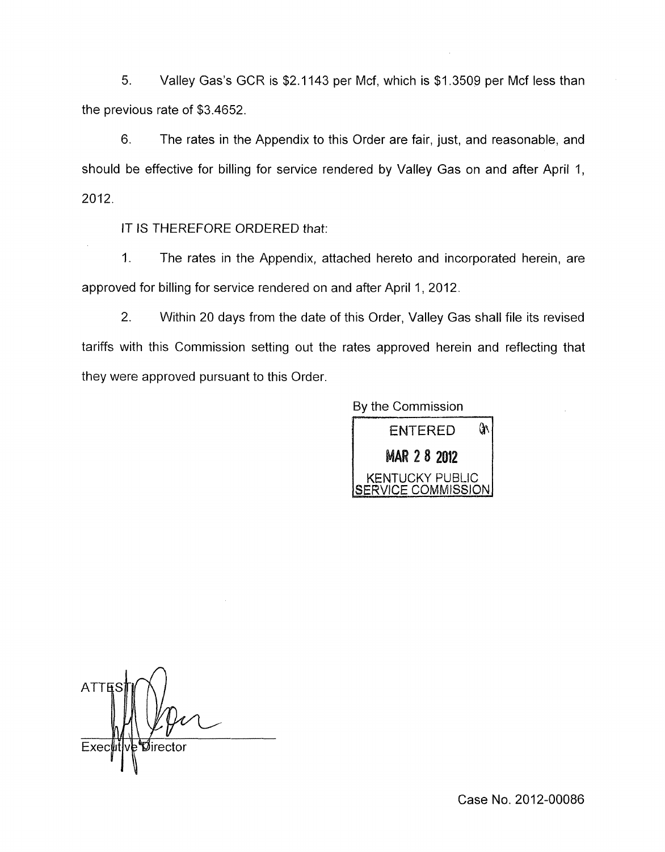5. Valley Gas's GCR is \$2.1143 per Mcf, which is \$1.3509 per Mcf less than the previous rate of \$3.4652.

6. The rates in the Appendix to this Order are fair, just, and reasonable, and should be effective for billing for service rendered by Valley Gas on and after April 1, 2012.

IT IS THEREFORE ORDERED that:

1. The rates in the Appendix, attached hereto and incorporated herein, are approved for billing for service rendered on and after April 1, 2012.

2. Within 20 days from the date of this Order, Valley Gas shall file its revised tariffs with this Commission setting out the rates approved herein and reflecting that they were approved pursuant to this Order.

By the Commission



**ATTE** Øirector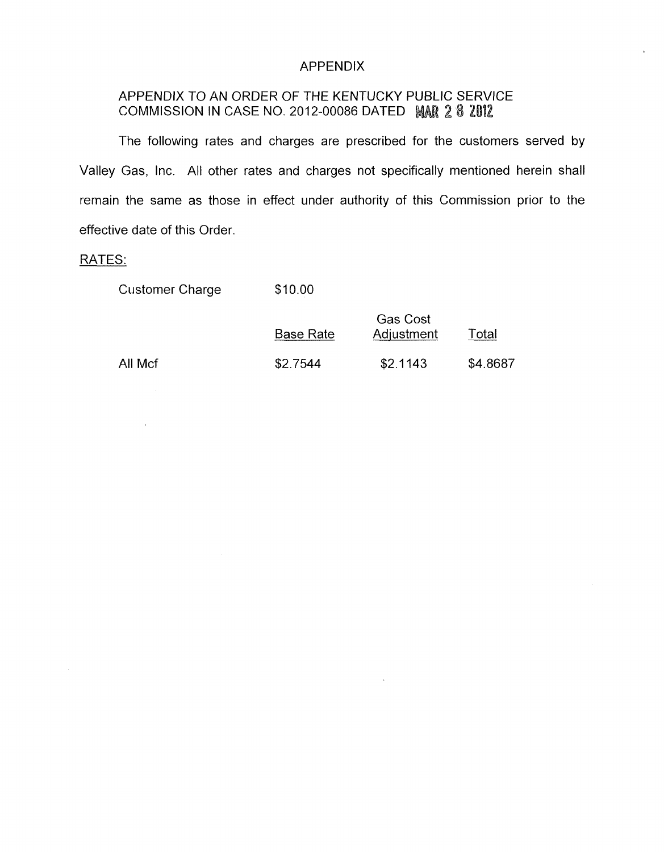## APPENDIX

# APPENDIX TO AN ORDER OF THE KENTUCKY PUBLIC SERVICE COMMISSION IN CASE NO. 2012-00086 DATED MAR 2 8 2012

The following rates and charges are prescribed for the customers served by Valley Gas, Inc. All other rates and charges not specifically mentioned herein shall remain the same as those in effect under authority of this Commission prior to the effective date of this Order

## RATES:

| <b>Customer Charge</b> | \$10.00 |
|------------------------|---------|
|------------------------|---------|

|         | <b>Base Rate</b> | <b>Gas Cost</b><br>Adjustment | Total    |
|---------|------------------|-------------------------------|----------|
| All Mcf | \$2.7544         | \$2.1143                      | \$4.8687 |